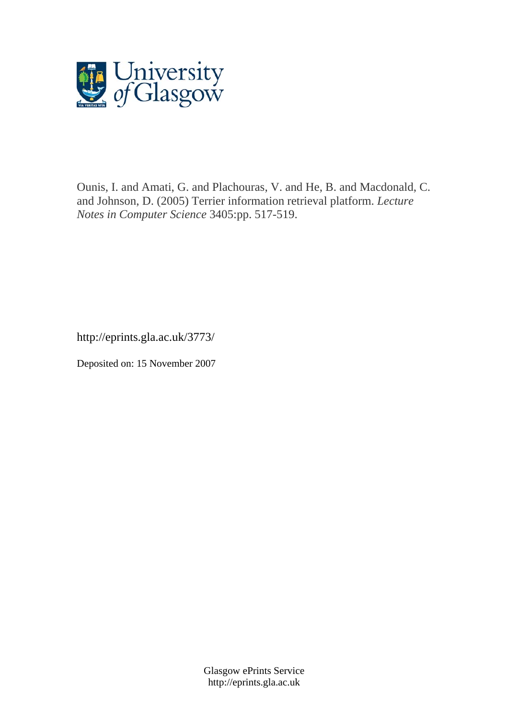

Ounis, I. and Amati, G. and Plachouras, V. and He, B. and Macdonald, C. and Johnson, D. (2005) Terrier information retrieval platform. *Lecture Notes in Computer Science* 3405:pp. 517-519.

http://eprints.gla.ac.uk/3773/

Deposited on: 15 November 2007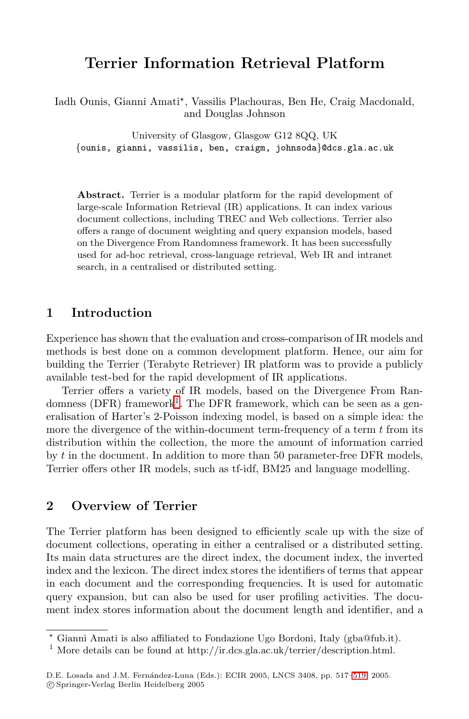## **Terrier Information Retrieval Platform**

Iadh Ounis, Gianni Amati<sup>\*</sup>, Vassilis Plachouras, Ben He, Craig Macdonald, and Douglas Johnson

University of Glasgow, Glasgow G12 8QQ, UK {ounis, gianni, vassilis, ben, craigm, johnsoda}@dcs.gla.ac.uk

**Abstract.** Terrier is a modular platform for the rapid development of large-scale Information Retrieval (IR) applications. It can index various document collections, including TREC and Web collections. Terrier also offers a range of document weighting and query expansion models, based on the Divergence From Randomness framework. It has been successfully used for ad-hoc retrieval, cross-language retrieval, Web IR and intranet search, in a centralised or distributed setting.

## **1 Introduction**

Experience has shown that the evaluation and cross-comparison of IR models and methods is best done on a common development platform. Hence, our aim for building the Terrier (Terabyte Retriever) IR platform was to provide a publicly available test-bed for the rapid development of IR applications.

Terrier offers a variety of IR models, based on the Divergence From Randomness  $(DFR)$  framework<sup>1</sup>. The DFR framework, which can be seen as a generalisation of Harter's 2-Poisson indexing model, is based on a simple idea: the more the divergence of the within-document term-frequency of a term  $t$  from its distribution within the collection, the more the amount of information carried by t in the document. In addition to more than 50 parameter-free DFR models, Terrier offers other IR models, such as tf-idf, BM25 and language modelling.

## **2 Overview of Terrier**

The Terrier platform has been designed to efficiently scale up with the size of document collections, operating in either a centralised or a distributed setting. Its main data structures are the direct index, the document index, the inverted index and the lexicon. The direct index stores the identifiers of terms that appear in each document and the corresponding frequencies. It is used for automatic query expansion, but can also be used for user profiling activities. The document index stores information about the document length and identifier, and a

Gianni Amati is also affiliated to Fondazione Ugo Bordoni, Italy (gba@fub.it).

<sup>&</sup>lt;sup>1</sup> More details can be found at http://ir.dcs.gla.ac.uk/terrier/description.html.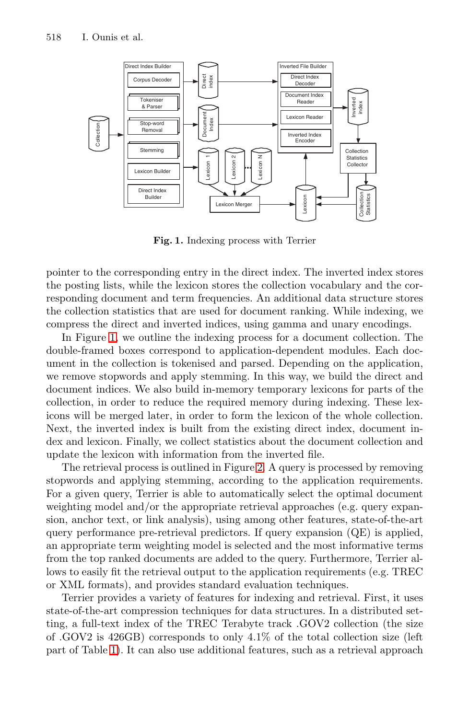

**Fig. 1.** Indexing process with Terrier

pointer to the corresponding entry in the direct index. The inverted index stores the posting lists, while the lexicon stores the collection vocabulary and the corresponding document and term frequencies. An additional data structure stores the collection statistics that are used for document ranking. While indexing, we compress the direct and inverted indices, using gamma and unary encodings.

In Figure 1, we outline the indexing process for a document collection. The double-framed boxes correspond to application-dependent modules. Each document in the collection is tokenised and parsed. Depending on the application, we remove stopwords and apply stemming. In this way, we build the direct and document indices. We also build in-memory temporary lexicons for parts of the collection, in order to reduce the required memory during indexing. These lexicons will be merged later, in order to form the lexicon of the whole collection. Next, the inverted index is built from the existing direct index, document index and lexicon. Finally, we collect statistics about the document collection and update the lexicon with information from the inverted file.

The retrieval process is outlined in Figure [2.](#page-3-0) A query is processed by removing stopwords and applying stemming, according to the application requirements. For a given query, Terrier is able to automatically select the optimal document weighting model and/or the appropriate retrieval approaches (e.g. query expansion, anchor text, or link analysis), using among other features, state-of-the-art query performance pre-retrieval predictors. If query expansion (QE) is applied, an appropriate term weighting model is selected and the most informative terms from the top ranked documents are added to the query. Furthermore, Terrier allows to easily fit the retrieval output to the application requirements (e.g. TREC or XML formats), and provides standard evaluation techniques.

Terrier provides a variety of features for indexing and retrieval. First, it uses state-of-the-art compression techniques for data structures. In a distributed setting, a full-text index of the TREC Terabyte track .GOV2 collection (the size of .GOV2 is 426GB) corresponds to only 4.1% of the total collection size (left part of Table [1\)](#page-3-0). It can also use additional features, such as a retrieval approach